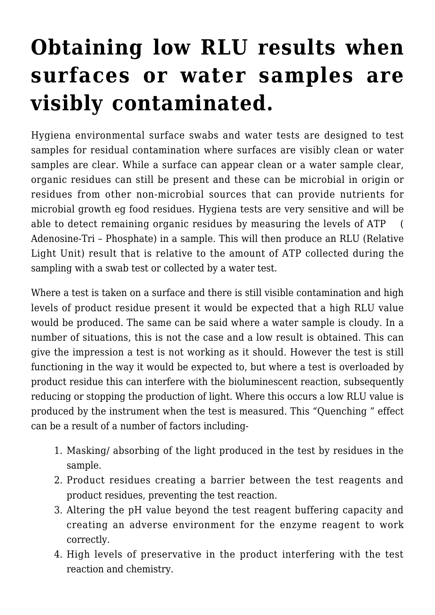## **[Obtaining low RLU results when](https://help.hygiena.com/kb-doc/obtaining-low-rlu-results-when-surfaces-or-water-samples-are-visibly-contaminated/) [surfaces or water samples are](https://help.hygiena.com/kb-doc/obtaining-low-rlu-results-when-surfaces-or-water-samples-are-visibly-contaminated/) [visibly contaminated.](https://help.hygiena.com/kb-doc/obtaining-low-rlu-results-when-surfaces-or-water-samples-are-visibly-contaminated/)**

Hygiena environmental surface swabs and water tests are designed to test samples for residual contamination where surfaces are visibly clean or water samples are clear. While a surface can appear clean or a water sample clear, organic residues can still be present and these can be microbial in origin or residues from other non-microbial sources that can provide nutrients for microbial growth eg food residues. Hygiena tests are very sensitive and will be able to detect remaining organic residues by measuring the levels of ATP ( Adenosine-Tri – Phosphate) in a sample. This will then produce an RLU (Relative Light Unit) result that is relative to the amount of ATP collected during the sampling with a swab test or collected by a water test.

Where a test is taken on a surface and there is still visible contamination and high levels of product residue present it would be expected that a high RLU value would be produced. The same can be said where a water sample is cloudy. In a number of situations, this is not the case and a low result is obtained. This can give the impression a test is not working as it should. However the test is still functioning in the way it would be expected to, but where a test is overloaded by product residue this can interfere with the bioluminescent reaction, subsequently reducing or stopping the production of light. Where this occurs a low RLU value is produced by the instrument when the test is measured. This "Quenching " effect can be a result of a number of factors including-

- 1. Masking/ absorbing of the light produced in the test by residues in the sample.
- 2. Product residues creating a barrier between the test reagents and product residues, preventing the test reaction.
- 3. Altering the pH value beyond the test reagent buffering capacity and creating an adverse environment for the enzyme reagent to work correctly.
- 4. High levels of preservative in the product interfering with the test reaction and chemistry.